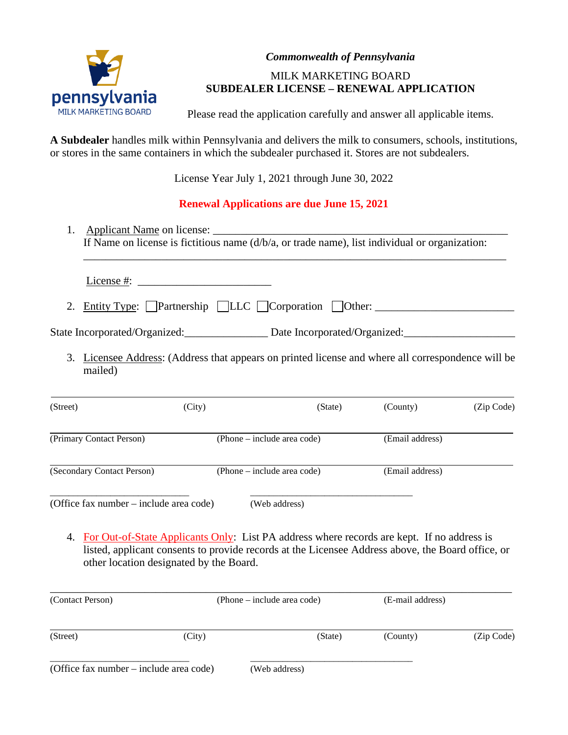

# *Commonwealth of Pennsylvania*

# MILK MARKETING BOARD **SUBDEALER LICENSE – RENEWAL APPLICATION**

Please read the application carefully and answer all applicable items.

**A Subdealer** handles milk within Pennsylvania and delivers the milk to consumers, schools, institutions, or stores in the same containers in which the subdealer purchased it. Stores are not subdealers.

License Year July 1, 2021 through June 30, 2022

# **Renewal Applications are due June 15, 2021**

1. Applicant Name on license: If Name on license is fictitious name (d/b/a, or trade name), list individual or organization:

\_\_\_\_\_\_\_\_\_\_\_\_\_\_\_\_\_\_\_\_\_\_\_\_\_\_\_\_\_\_\_\_\_\_\_\_\_\_\_\_\_\_\_\_\_\_\_\_\_\_\_\_\_\_\_\_\_\_\_\_\_\_\_\_\_\_\_\_\_\_\_\_\_\_\_\_

License #:

2. Entity Type:  $\Box$  Partnership  $\Box$  LLC  $\Box$  Corporation  $\Box$  Other:

State Incorporated/Organized: Date Incorporated/Organized:

3. Licensee Address: (Address that appears on printed license and where all correspondence will be mailed)

| (Street)                                | (City) | (State)                     | (County)        | (Zip Code) |
|-----------------------------------------|--------|-----------------------------|-----------------|------------|
| (Primary Contact Person)                |        | (Phone – include area code) | (Email address) |            |
| (Secondary Contact Person)              |        | (Phone – include area code) | (Email address) |            |
| (Office fax number – include area code) |        | (Web address)               |                 |            |

4. For Out-of-State Applicants Only: List PA address where records are kept. If no address is listed, applicant consents to provide records at the Licensee Address above, the Board office, or other location designated by the Board.

| (Contact Person)                        | (Phone – include area code) |               | (E-mail address) |            |
|-----------------------------------------|-----------------------------|---------------|------------------|------------|
| (Street)                                | (City)                      | (State)       | (County)         | (Zip Code) |
| (Office fax number – include area code) |                             | (Web address) |                  |            |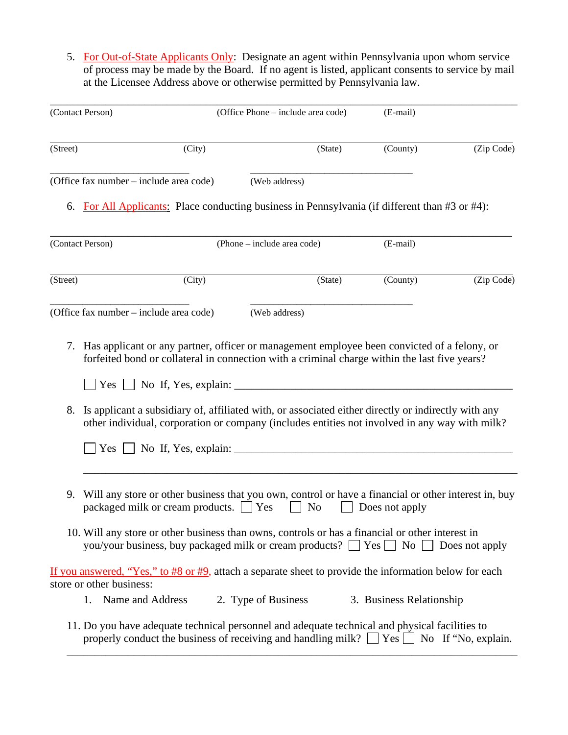5. For Out-of-State Applicants Only: Designate an agent within Pennsylvania upon whom service of process may be made by the Board. If no agent is listed, applicant consents to service by mail at the Licensee Address above or otherwise permitted by Pennsylvania law.

|          | (Contact Person)                                                                                                                                                                                                                                                                                      | (Office Phone – include area code) | (E-mail)                 |            |
|----------|-------------------------------------------------------------------------------------------------------------------------------------------------------------------------------------------------------------------------------------------------------------------------------------------------------|------------------------------------|--------------------------|------------|
| (Street) | (City)                                                                                                                                                                                                                                                                                                | (State)                            | (County)                 | (Zip Code) |
|          | (Office fax number – include area code)                                                                                                                                                                                                                                                               | (Web address)                      |                          |            |
|          | 6. For All Applicants: Place conducting business in Pennsylvania (if different than #3 or #4):                                                                                                                                                                                                        |                                    |                          |            |
|          | (Contact Person)                                                                                                                                                                                                                                                                                      | (Phone – include area code)        | (E-mail)                 |            |
| (Street) | (City)                                                                                                                                                                                                                                                                                                | (State)                            | (County)                 | (Zip Code) |
|          | (Office fax number – include area code)                                                                                                                                                                                                                                                               | (Web address)                      |                          |            |
|          | $\Box$ Yes $\Box$ No If, Yes, explain: $\Box$<br>8. Is applicant a subsidiary of, affiliated with, or associated either directly or indirectly with any<br>other individual, corporation or company (includes entities not involved in any way with milk?<br>$\vert$ Yes $\vert$ No If, Yes, explain: |                                    |                          |            |
| 9.       | Will any store or other business that you own, control or have a financial or other interest in, buy<br>packaged milk or cream products. The Yes                                                                                                                                                      | N <sub>0</sub>                     | Does not apply           |            |
|          | 10. Will any store or other business than owns, controls or has a financial or other interest in<br>you/your business, buy packaged milk or cream products? $\Box$ Yes $\Box$ No $\Box$ Does not apply                                                                                                |                                    |                          |            |
|          | If you answered, "Yes," to #8 or #9, attach a separate sheet to provide the information below for each<br>store or other business:                                                                                                                                                                    |                                    |                          |            |
|          | Name and Address<br>1.                                                                                                                                                                                                                                                                                | 2. Type of Business                | 3. Business Relationship |            |
|          | 11. Do you have adequate technical personnel and adequate technical and physical facilities to<br>properly conduct the business of receiving and handling milk? $\Box$ Yes $\Box$ No If "No, explain.                                                                                                 |                                    |                          |            |

\_\_\_\_\_\_\_\_\_\_\_\_\_\_\_\_\_\_\_\_\_\_\_\_\_\_\_\_\_\_\_\_\_\_\_\_\_\_\_\_\_\_\_\_\_\_\_\_\_\_\_\_\_\_\_\_\_\_\_\_\_\_\_\_\_\_\_\_\_\_\_\_\_\_\_\_\_\_\_\_\_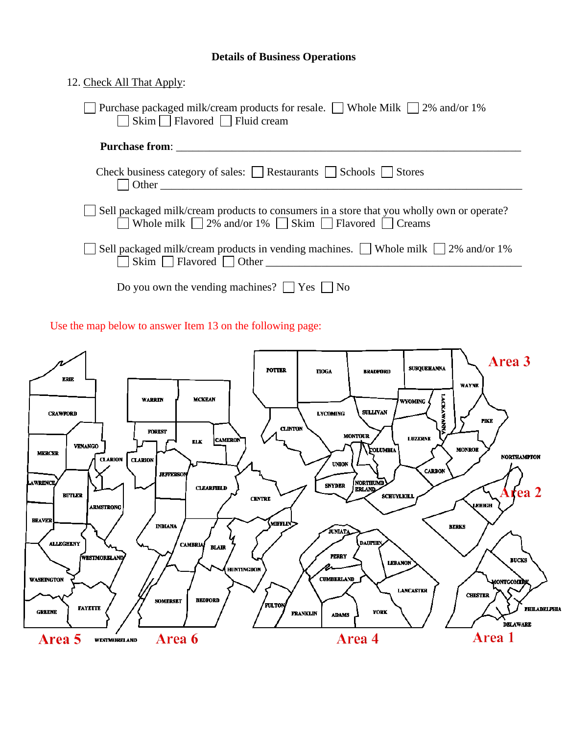# **Details of Business Operations**

| 12. Check All That Apply:                                                                                                                                                                                                          |
|------------------------------------------------------------------------------------------------------------------------------------------------------------------------------------------------------------------------------------|
| Purchase packaged milk/cream products for resale.   Whole Milk   2% and/or 1%<br>$\Box$ Skim $\Box$ Flavored $\Box$ Fluid cream                                                                                                    |
| <b>Purchase from:</b> The contract of the contract of the contract of the contract of the contract of the contract of the contract of the contract of the contract of the contract of the contract of the contract of the contract |
|                                                                                                                                                                                                                                    |
| Sell packaged milk/cream products to consumers in a store that you wholly own or operate?<br>Whole milk $\Box$ 2% and/or 1% $\Box$ Skim $\Box$ Flavored $\Box$ Creams                                                              |
| Sell packaged milk/cream products in vending machines. $\Box$ Whole milk $\Box$ 2% and/or 1%<br>$\mathsf{Skim} \ \Box \ \mathsf{Flavored} \ \Box \ \mathsf{Other}$                                                                 |
| Do you own the vending machines? $ $   Yes     No                                                                                                                                                                                  |

Use the map below to answer Item 13 on the following page:

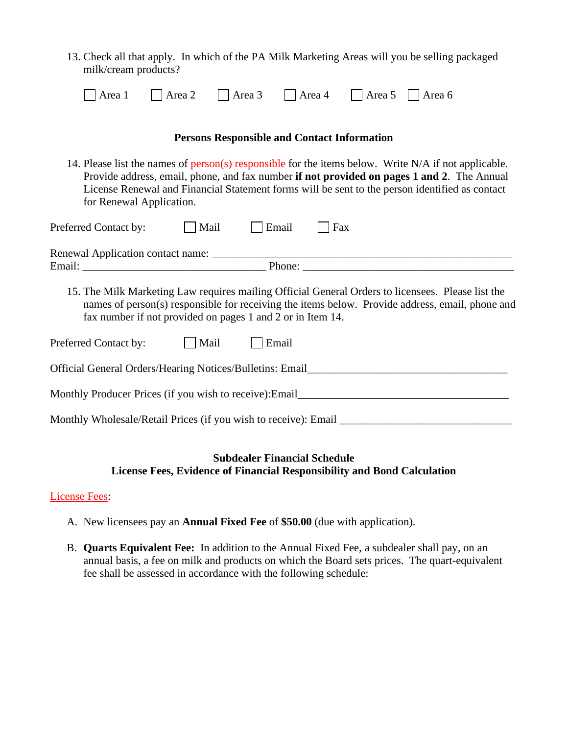13. Check all that apply. In which of the PA Milk Marketing Areas will you be selling packaged milk/cream products?

|  | $\Box$ Area 1 $\Box$ Area 2 $\Box$ Area 3 $\Box$ Area 4 $\Box$ Area 5 $\Box$ Area 6 |                                                                                                                                                                                                 |
|--|-------------------------------------------------------------------------------------|-------------------------------------------------------------------------------------------------------------------------------------------------------------------------------------------------|
|  | <b>Persons Responsible and Contact Information</b>                                  |                                                                                                                                                                                                 |
|  |                                                                                     | 14. Please list the names of person(s) responsible for the items below. Write N/A if not applicable.<br>Provide address email phone and fax number if not provided on pages 1 and 2. The Annual |

Provide address, email, phone, and fax number **if not provided on pages 1 and 2**. The Annual License Renewal and Financial Statement forms will be sent to the person identified as contact for Renewal Application.

| Preferred Contact by:                                                                             | Mail | Email  | $ $ Fax |  |
|---------------------------------------------------------------------------------------------------|------|--------|---------|--|
| Renewal Application contact name:                                                                 |      |        |         |  |
| Email:                                                                                            |      | Phone: |         |  |
| 15. The Milk Marketing Law requires mailing Official General Orders to licensees. Please list the |      |        |         |  |

names of person(s) responsible for receiving the items below. Provide address, email, phone and fax number if not provided on pages 1 and 2 or in Item 14.

| Preferred Contact by:                                    | Mail | $\Box$ Email |
|----------------------------------------------------------|------|--------------|
| Official General Orders/Hearing Notices/Bulletins: Email |      |              |
| Monthly Producer Prices (if you wish to receive): Email  |      |              |

Monthly Wholesale/Retail Prices (if you wish to receive): Email

# **Subdealer Financial Schedule License Fees, Evidence of Financial Responsibility and Bond Calculation**

# License Fees:

- A. New licensees pay an **Annual Fixed Fee** of **\$50.00** (due with application).
- B. **Quarts Equivalent Fee:** In addition to the Annual Fixed Fee, a subdealer shall pay, on an annual basis, a fee on milk and products on which the Board sets prices. The quart-equivalent fee shall be assessed in accordance with the following schedule: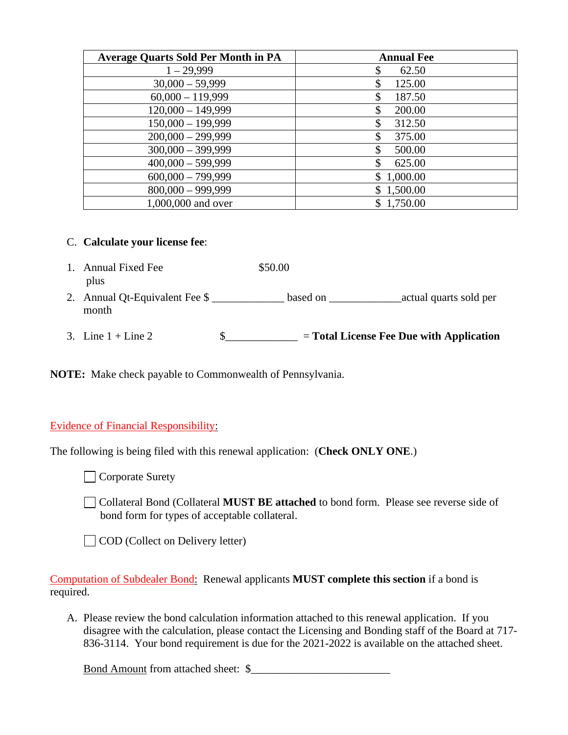| <b>Average Quarts Sold Per Month in PA</b> | <b>Annual Fee</b> |
|--------------------------------------------|-------------------|
| $1 - 29,999$                               | 62.50             |
| $30,000 - 59,999$                          | 125.00            |
| $60,000 - 119,999$                         | 187.50            |
| $120,000 - 149,999$                        | 200.00            |
| $150,000 - 199,999$                        | 312.50            |
| $200,000 - 299,999$                        | 375.00            |
| $300,000 - 399,999$                        | 500.00            |
| $400,000 - 599,999$                        | \$<br>625.00      |
| $600,000 - 799,999$                        | \$1,000.00        |
| $800,000 - 999,999$                        | \$1,500.00        |
| 1,000,000 and over                         | \$1,750.00        |

#### C. **Calculate your license fee**:

| 1. Annual Fixed Fee<br>plus             | \$50.00  |                                            |
|-----------------------------------------|----------|--------------------------------------------|
| 2. Annual Qt-Equivalent Fee \$<br>month | based on | actual quarts sold per                     |
| 3. Line $1 +$ Line 2                    |          | $=$ Total License Fee Due with Application |

**NOTE:** Make check payable to Commonwealth of Pennsylvania.

#### Evidence of Financial Responsibility:

The following is being filed with this renewal application: (**Check ONLY ONE**.)

**Corporate Surety** 

Collateral Bond (Collateral **MUST BE attached** to bond form. Please see reverse side of bond form for types of acceptable collateral.

COD (Collect on Delivery letter)

Computation of Subdealer Bond: Renewal applicants **MUST complete this section** if a bond is required.

A. Please review the bond calculation information attached to this renewal application. If you disagree with the calculation, please contact the Licensing and Bonding staff of the Board at 717- 836-3114. Your bond requirement is due for the 2021-2022 is available on the attached sheet.

Bond Amount from attached sheet:  $\$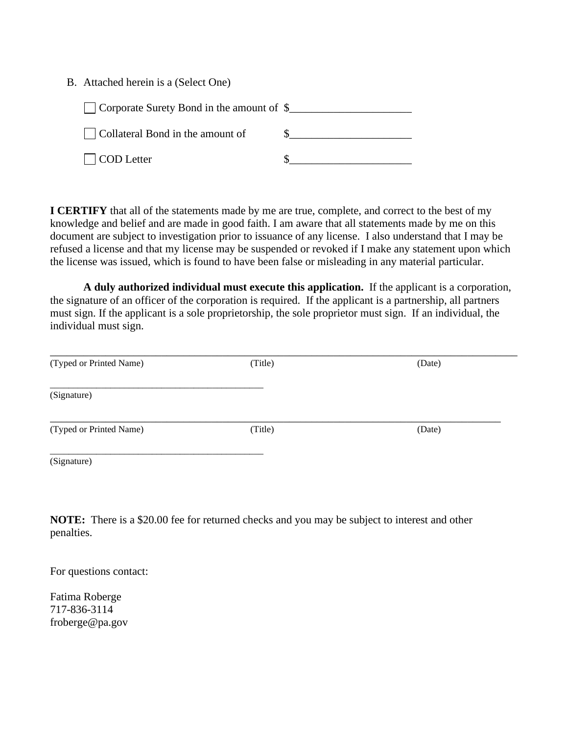B. Attached herein is a (Select One)

| Corporate Surety Bond in the amount of \$ |  |
|-------------------------------------------|--|
| Collateral Bond in the amount of          |  |
| COD Letter                                |  |

**I CERTIFY** that all of the statements made by me are true, complete, and correct to the best of my knowledge and belief and are made in good faith. I am aware that all statements made by me on this document are subject to investigation prior to issuance of any license. I also understand that I may be refused a license and that my license may be suspended or revoked if I make any statement upon which the license was issued, which is found to have been false or misleading in any material particular.

**A duly authorized individual must execute this application.** If the applicant is a corporation, the signature of an officer of the corporation is required. If the applicant is a partnership, all partners must sign. If the applicant is a sole proprietorship, the sole proprietor must sign. If an individual, the individual must sign.

| (Typed or Printed Name) | (Title) | (Date) |  |
|-------------------------|---------|--------|--|
| (Signature)             |         |        |  |
| (Typed or Printed Name) | (Title) | (Date) |  |
| (Signature)             |         |        |  |

**NOTE:** There is a \$20.00 fee for returned checks and you may be subject to interest and other penalties.

For questions contact:

Fatima Roberge 717-836-3114 froberge@pa.gov